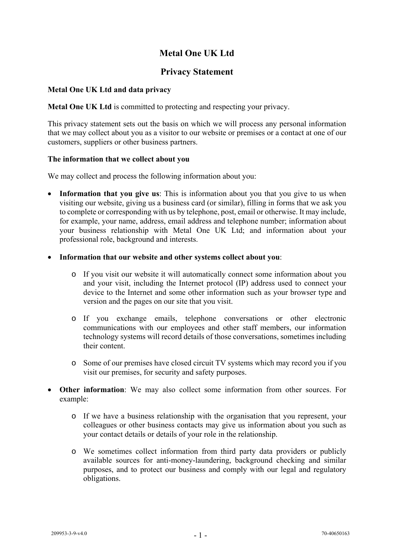# **Metal One UK Ltd**

## **Privacy Statement**

## **Metal One UK Ltd and data privacy**

**Metal One UK Ltd** is committed to protecting and respecting your privacy.

This privacy statement sets out the basis on which we will process any personal information that we may collect about you as a visitor to our website or premises or a contact at one of our customers, suppliers or other business partners.

### **The information that we collect about you**

We may collect and process the following information about you:

- **Information that you give us**: This is information about you that you give to us when visiting our website, giving us a business card (or similar), filling in forms that we ask you to complete or corresponding with us by telephone, post, email or otherwise. It may include, for example, your name, address, email address and telephone number; information about your business relationship with Metal One UK Ltd; and information about your professional role, background and interests.
- **Information that our website and other systems collect about you**:
	- o If you visit our website it will automatically connect some information about you and your visit, including the Internet protocol (IP) address used to connect your device to the Internet and some other information such as your browser type and version and the pages on our site that you visit.
	- o If you exchange emails, telephone conversations or other electronic communications with our employees and other staff members, our information technology systems will record details of those conversations, sometimes including their content.
	- o Some of our premises have closed circuit TV systems which may record you if you visit our premises, for security and safety purposes.
- **Other information**: We may also collect some information from other sources. For example:
	- o If we have a business relationship with the organisation that you represent, your colleagues or other business contacts may give us information about you such as your contact details or details of your role in the relationship.
	- o We sometimes collect information from third party data providers or publicly available sources for anti-money-laundering, background checking and similar purposes, and to protect our business and comply with our legal and regulatory obligations.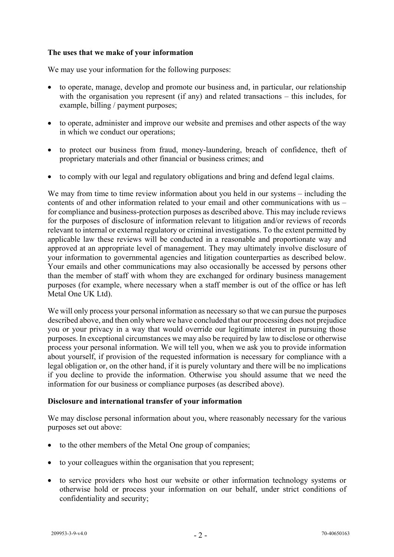## **The uses that we make of your information**

We may use your information for the following purposes:

- to operate, manage, develop and promote our business and, in particular, our relationship with the organisation you represent (if any) and related transactions – this includes, for example, billing / payment purposes;
- to operate, administer and improve our website and premises and other aspects of the way in which we conduct our operations;
- to protect our business from fraud, money-laundering, breach of confidence, theft of proprietary materials and other financial or business crimes; and
- to comply with our legal and regulatory obligations and bring and defend legal claims.

We may from time to time review information about you held in our systems – including the contents of and other information related to your email and other communications with us – for compliance and business-protection purposes as described above. This may include reviews for the purposes of disclosure of information relevant to litigation and/or reviews of records relevant to internal or external regulatory or criminal investigations. To the extent permitted by applicable law these reviews will be conducted in a reasonable and proportionate way and approved at an appropriate level of management. They may ultimately involve disclosure of your information to governmental agencies and litigation counterparties as described below. Your emails and other communications may also occasionally be accessed by persons other than the member of staff with whom they are exchanged for ordinary business management purposes (for example, where necessary when a staff member is out of the office or has left Metal One UK Ltd).

We will only process your personal information as necessary so that we can pursue the purposes described above, and then only where we have concluded that our processing does not prejudice you or your privacy in a way that would override our legitimate interest in pursuing those purposes. In exceptional circumstances we may also be required by law to disclose or otherwise process your personal information. We will tell you, when we ask you to provide information about yourself, if provision of the requested information is necessary for compliance with a legal obligation or, on the other hand, if it is purely voluntary and there will be no implications if you decline to provide the information. Otherwise you should assume that we need the information for our business or compliance purposes (as described above).

## **Disclosure and international transfer of your information**

We may disclose personal information about you, where reasonably necessary for the various purposes set out above:

- to the other members of the Metal One group of companies;
- to your colleagues within the organisation that you represent;
- to service providers who host our website or other information technology systems or otherwise hold or process your information on our behalf, under strict conditions of confidentiality and security;